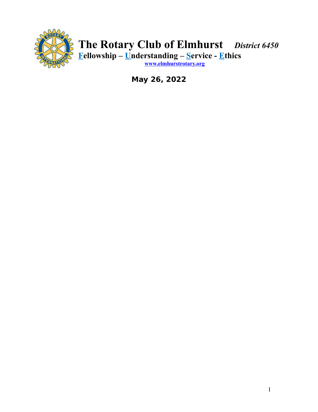

# **The Rotary Club of Elmhurst** *District 6450* **Fellowship – Understanding – Service - Ethics**

**[www.elmhurstrotary.org](http://www.elmhurstrotary.org/)**

**May 26, 2022**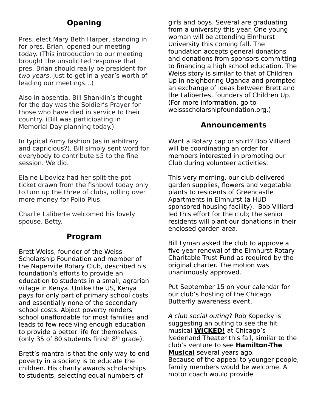# **Opening**

Pres. elect Mary Beth Harper, standing in for pres. Brian, opened our meeting today. (This introduction to our meeting brought the unsolicited response that pres. Brian should really be president for two years, just to get in a year's worth of leading our meetings…)

Also in absentia, Bill Shanklin's thought for the day was the Soldier's Prayer for those who have died in service to their country. (Bill was participating in Memorial Day planning today.)

In typical Army fashion (as in arbitrary and capricious?), Bill simply sent word for everybody to contribute \$5 to the fine session. We did.

Elaine Libovicz had her split-the-pot ticket drawn from the fishbowl today only to turn up the three of clubs, rolling over more money for Polio Plus.

Charlie Laliberte welcomed his lovely spouse, Betty.

## **Program**

Brett Weiss, founder of the Weiss Scholarship Foundation and member of the Naperville Rotary Club, described his foundation's efforts to provide an education to students in a small, agrarian village in Kenya. Unlike the US, Kenya pays for only part of primary school costs and essentially none of the secondary school costs. Abject poverty renders school unaffordable for most families and leads to few receiving enough education to provide a better life for themselves (only 35 of 80 students finish  $8<sup>th</sup>$  grade).

Brett's mantra is that the only way to end poverty in a society is to educate the children. His charity awards scholarships to students, selecting equal numbers of

girls and boys. Several are graduating from a university this year. One young woman will be attending Elmhurst University this coming fall. The foundation accepts general donations and donations from sponsors committing to financing a high school education. The Weiss story is similar to that of Children Up in neighboring Uganda and prompted an exchange of ideas between Brett and the Lalibertes, founders of Children Up. (For more information, go to weissscholarshipfoundation.org.)

### **Announcements**

Want a Rotary cap or shirt? Bob Villiard will be coordinating an order for members interested in promoting our Club during volunteer activities.

This very morning, our club delivered garden supplies, flowers and vegetable plants to residents of Greencastle Apartments in Elmhurst (a HUD sponsored housing facility). Bob Villiard led this effort for the club; the senior residents will plant our donations in their enclosed garden area.

Bill Lyman asked the club to approve a five-year renewal of the Elmhurst Rotary Charitable Trust Fund as required by the original charter. The motion was unanimously approved.

Put September 15 on your calendar for our club's hosting of the Chicago Butterfly awareness event.

A club social outing? Rob Kopecky is suggesting an outing to see the hit musical **WICKED!** at Chicago's Nederland Theater this fall, similar to the club's venture to see **Hamilton-The Musical** several years ago. Because of the appeal to younger people, family members would be welcome. A motor coach would provide